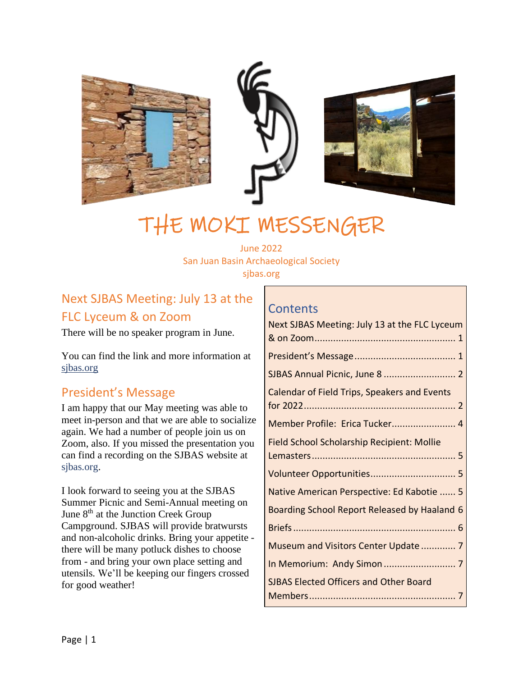





# THE MOKI MESSENGER

June 2022 San Juan Basin Archaeological Society sjbas.org

# <span id="page-0-0"></span>Next SJBAS Meeting: July 13 at the FLC Lyceum & on Zoom

There will be no speaker program in June.

You can find the link and more information at [sjbas.org](https://www.sjbas.org/)

# <span id="page-0-1"></span>President's Message

I am happy that our May meeting was able to meet in-person and that we are able to socialize again. We had a number of people join us on Zoom, also. If you missed the presentation you can find a recording on the SJBAS website at sjbas.org.

I look forward to seeing you at the SJBAS Summer Picnic and Semi-Annual meeting on June 8<sup>th</sup> at the Junction Creek Group Campground. SJBAS will provide bratwursts and non-alcoholic drinks. Bring your appetite there will be many potluck dishes to choose from - and bring your own place setting and utensils. We'll be keeping our fingers crossed for good weather!

## **Contents**

| Next SJBAS Meeting: July 13 at the FLC Lyceum     |
|---------------------------------------------------|
|                                                   |
| SJBAS Annual Picnic, June 8  2                    |
| Calendar of Field Trips, Speakers and Events      |
| Member Profile: Erica Tucker 4                    |
| <b>Field School Scholarship Recipient: Mollie</b> |
|                                                   |
| Native American Perspective: Ed Kabotie  5        |
| Boarding School Report Released by Haaland 6      |
|                                                   |
| Museum and Visitors Center Update  7              |
|                                                   |
| <b>SJBAS Elected Officers and Other Board</b>     |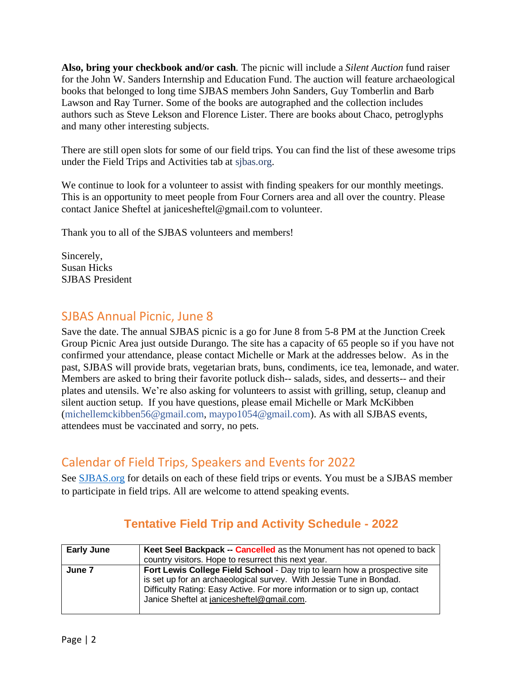**Also, bring your checkbook and/or cash**. The picnic will include a *Silent Auction* fund raiser for the John W. Sanders Internship and Education Fund. The auction will feature archaeological books that belonged to long time SJBAS members John Sanders, Guy Tomberlin and Barb Lawson and Ray Turner. Some of the books are autographed and the collection includes authors such as Steve Lekson and Florence Lister. There are books about Chaco, petroglyphs and many other interesting subjects.

There are still open slots for some of our field trips. You can find the list of these awesome trips under the Field Trips and Activities tab at sjbas.org.

We continue to look for a volunteer to assist with finding speakers for our monthly meetings. This is an opportunity to meet people from Four Corners area and all over the country. Please contact Janice Sheftel at janicesheftel@gmail.com to volunteer.

Thank you to all of the SJBAS volunteers and members!

Sincerely, Susan Hicks SJBAS President

#### <span id="page-1-0"></span>SJBAS Annual Picnic, June 8

Save the date. The annual SJBAS picnic is a go for June 8 from 5-8 PM at the Junction Creek Group Picnic Area just outside Durango. The site has a capacity of 65 people so if you have not confirmed your attendance, please contact Michelle or Mark at the addresses below. As in the past, SJBAS will provide brats, vegetarian brats, buns, condiments, ice tea, lemonade, and water. Members are asked to bring their favorite potluck dish-- salads, sides, and desserts-- and their plates and utensils. We're also asking for volunteers to assist with grilling, setup, cleanup and silent auction setup. If you have questions, please email Michelle or Mark McKibben (michellemckibben56@gmail.com, maypo1054@gmail.com). As with all SJBAS events, attendees must be vaccinated and sorry, no pets.

# <span id="page-1-1"></span>Calendar of Field Trips, Speakers and Events for 2022

See **SJBAS**.org for details on each of these field trips or events. You must be a SJBAS member to participate in field trips. All are welcome to attend speaking events.

| <b>Early June</b> | <b>Keet Seel Backpack -- Cancelled</b> as the Monument has not opened to back                                                                                                                                                                                                  |  |  |
|-------------------|--------------------------------------------------------------------------------------------------------------------------------------------------------------------------------------------------------------------------------------------------------------------------------|--|--|
|                   | country visitors. Hope to resurrect this next year.                                                                                                                                                                                                                            |  |  |
| June 7            | Fort Lewis College Field School - Day trip to learn how a prospective site<br>is set up for an archaeological survey. With Jessie Tune in Bondad.<br>Difficulty Rating: Easy Active. For more information or to sign up, contact<br>Janice Sheftel at janicesheftel@gmail.com. |  |  |

#### **Tentative Field Trip and Activity Schedule - 2022**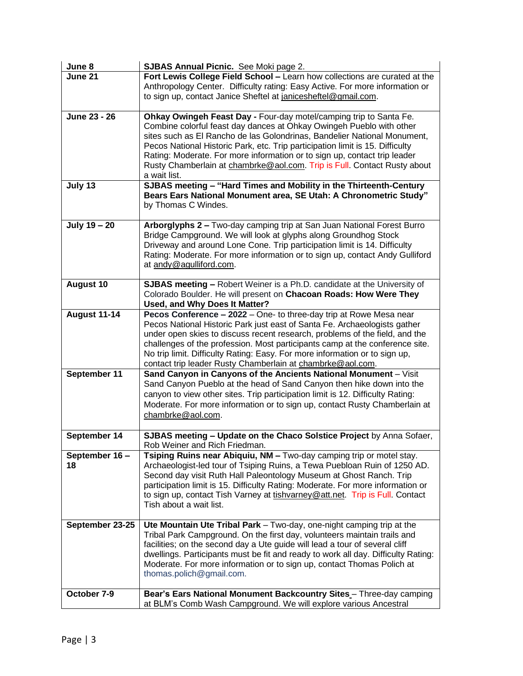| June 8              | <b>SJBAS Annual Picnic.</b> See Moki page 2.                                                                                                                                                                                                                                                                                                                                                                                                                |
|---------------------|-------------------------------------------------------------------------------------------------------------------------------------------------------------------------------------------------------------------------------------------------------------------------------------------------------------------------------------------------------------------------------------------------------------------------------------------------------------|
| <b>June 21</b>      | Fort Lewis College Field School - Learn how collections are curated at the<br>Anthropology Center. Difficulty rating: Easy Active. For more information or<br>to sign up, contact Janice Sheftel at janicesheftel@gmail.com.                                                                                                                                                                                                                                |
| June 23 - 26        | Ohkay Owingeh Feast Day - Four-day motel/camping trip to Santa Fe.                                                                                                                                                                                                                                                                                                                                                                                          |
|                     | Combine colorful feast day dances at Ohkay Owingeh Pueblo with other<br>sites such as El Rancho de las Golondrinas, Bandelier National Monument,<br>Pecos National Historic Park, etc. Trip participation limit is 15. Difficulty<br>Rating: Moderate. For more information or to sign up, contact trip leader<br>Rusty Chamberlain at chambrke@aol.com. Trip is Full. Contact Rusty about<br>a wait list.                                                  |
| July 13             | SJBAS meeting - "Hard Times and Mobility in the Thirteenth-Century<br>Bears Ears National Monument area, SE Utah: A Chronometric Study"<br>by Thomas C Windes.                                                                                                                                                                                                                                                                                              |
| July 19 - 20        | Arborglyphs 2 - Two-day camping trip at San Juan National Forest Burro<br>Bridge Campground. We will look at glyphs along Groundhog Stock<br>Driveway and around Lone Cone. Trip participation limit is 14. Difficulty<br>Rating: Moderate. For more information or to sign up, contact Andy Gulliford<br>at andy@agulliford.com.                                                                                                                           |
| <b>August 10</b>    | SJBAS meeting - Robert Weiner is a Ph.D. candidate at the University of<br>Colorado Boulder. He will present on Chacoan Roads: How Were They<br>Used, and Why Does It Matter?                                                                                                                                                                                                                                                                               |
| <b>August 11-14</b> | Pecos Conference - 2022 - One- to three-day trip at Rowe Mesa near<br>Pecos National Historic Park just east of Santa Fe. Archaeologists gather<br>under open skies to discuss recent research, problems of the field, and the<br>challenges of the profession. Most participants camp at the conference site.<br>No trip limit. Difficulty Rating: Easy. For more information or to sign up,<br>contact trip leader Rusty Chamberlain at chambrke@aol.com. |
| September 11        | Sand Canyon in Canyons of the Ancients National Monument - Visit<br>Sand Canyon Pueblo at the head of Sand Canyon then hike down into the<br>canyon to view other sites. Trip participation limit is 12. Difficulty Rating:<br>Moderate. For more information or to sign up, contact Rusty Chamberlain at<br>chambrke@aol.com.                                                                                                                              |
| September 14        | SJBAS meeting - Update on the Chaco Solstice Project by Anna Sofaer,<br>Rob Weiner and Rich Friedman.                                                                                                                                                                                                                                                                                                                                                       |
| September 16-<br>18 | Tsiping Ruins near Abiquiu, NM - Two-day camping trip or motel stay.<br>Archaeologist-led tour of Tsiping Ruins, a Tewa Puebloan Ruin of 1250 AD.<br>Second day visit Ruth Hall Paleontology Museum at Ghost Ranch. Trip<br>participation limit is 15. Difficulty Rating: Moderate. For more information or<br>to sign up, contact Tish Varney at tishvarney@att.net. Trip is Full. Contact<br>Tish about a wait list.                                      |
| September 23-25     | Ute Mountain Ute Tribal Park - Two-day, one-night camping trip at the<br>Tribal Park Campground. On the first day, volunteers maintain trails and<br>facilities; on the second day a Ute guide will lead a tour of several cliff<br>dwellings. Participants must be fit and ready to work all day. Difficulty Rating:<br>Moderate. For more information or to sign up, contact Thomas Polich at<br>thomas.polich@gmail.com.                                 |
| October 7-9         | Bear's Ears National Monument Backcountry Sites - Three-day camping<br>at BLM's Comb Wash Campground. We will explore various Ancestral                                                                                                                                                                                                                                                                                                                     |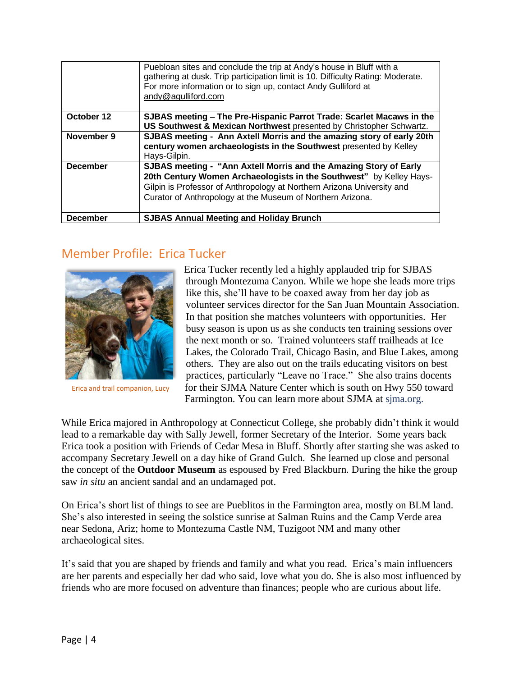|                 | Puebloan sites and conclude the trip at Andy's house in Bluff with a<br>gathering at dusk. Trip participation limit is 10. Difficulty Rating: Moderate.<br>For more information or to sign up, contact Andy Gulliford at<br>andy@agulliford.com                                  |
|-----------------|----------------------------------------------------------------------------------------------------------------------------------------------------------------------------------------------------------------------------------------------------------------------------------|
| October 12      | SJBAS meeting - The Pre-Hispanic Parrot Trade: Scarlet Macaws in the<br>US Southwest & Mexican Northwest presented by Christopher Schwartz.                                                                                                                                      |
| November 9      | SJBAS meeting - Ann Axtell Morris and the amazing story of early 20th<br>century women archaeologists in the Southwest presented by Kelley<br>Hays-Gilpin.                                                                                                                       |
| <b>December</b> | SJBAS meeting - "Ann Axtell Morris and the Amazing Story of Early<br>20th Century Women Archaeologists in the Southwest" by Kelley Hays-<br>Gilpin is Professor of Anthropology at Northern Arizona University and<br>Curator of Anthropology at the Museum of Northern Arizona. |
| <b>December</b> | <b>SJBAS Annual Meeting and Holiday Brunch</b>                                                                                                                                                                                                                                   |

#### <span id="page-3-0"></span>Member Profile: Erica Tucker



Erica and trail companion, Lucy

Erica Tucker recently led a highly applauded trip for SJBAS through Montezuma Canyon. While we hope she leads more trips like this, she'll have to be coaxed away from her day job as volunteer services director for the San Juan Mountain Association. In that position she matches volunteers with opportunities. Her busy season is upon us as she conducts ten training sessions over the next month or so. Trained volunteers staff trailheads at Ice Lakes, the Colorado Trail, Chicago Basin, and Blue Lakes, among others. They are also out on the trails educating visitors on best practices, particularly "Leave no Trace." She also trains docents for their SJMA Nature Center which is south on Hwy 550 toward Farmington. You can learn more about SJMA at sjma.org.

While Erica majored in Anthropology at Connecticut College, she probably didn't think it would lead to a remarkable day with Sally Jewell, former Secretary of the Interior. Some years back Erica took a position with Friends of Cedar Mesa in Bluff. Shortly after starting she was asked to accompany Secretary Jewell on a day hike of Grand Gulch. She learned up close and personal the concept of the **Outdoor Museum** as espoused by Fred Blackburn. During the hike the group saw *in situ* an ancient sandal and an undamaged pot.

On Erica's short list of things to see are Pueblitos in the Farmington area, mostly on BLM land. She's also interested in seeing the solstice sunrise at Salman Ruins and the Camp Verde area near Sedona, Ariz; home to Montezuma Castle NM, Tuzigoot NM and many other archaeological sites.

It's said that you are shaped by friends and family and what you read. Erica's main influencers are her parents and especially her dad who said, love what you do. She is also most influenced by friends who are more focused on adventure than finances; people who are curious about life.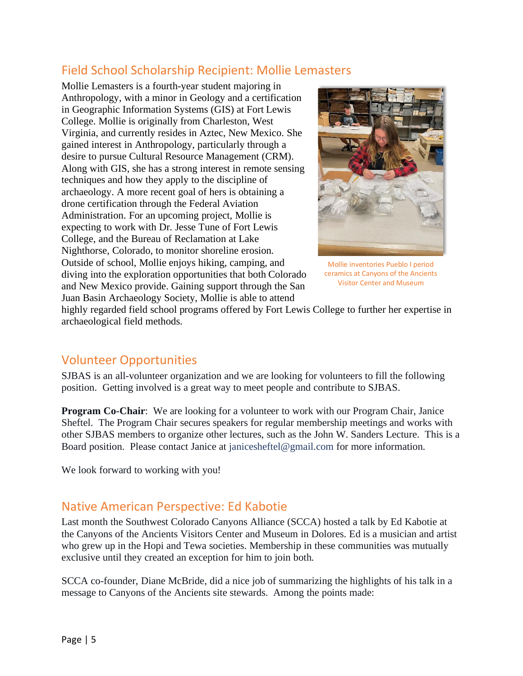## <span id="page-4-0"></span>Field School Scholarship Recipient: Mollie Lemasters

Mollie Lemasters is a fourth-year student majoring in Anthropology, with a minor in Geology and a certification in Geographic Information Systems (GIS) at Fort Lewis College. Mollie is originally from Charleston, West Virginia, and currently resides in Aztec, New Mexico. She gained interest in Anthropology, particularly through a desire to pursue Cultural Resource Management (CRM). Along with GIS, she has a strong interest in remote sensing techniques and how they apply to the discipline of archaeology. A more recent goal of hers is obtaining a drone certification through the Federal Aviation Administration. For an upcoming project, Mollie is expecting to work with Dr. Jesse Tune of Fort Lewis College, and the Bureau of Reclamation at Lake Nighthorse, Colorado, to monitor shoreline erosion. Outside of school, Mollie enjoys hiking, camping, and diving into the exploration opportunities that both Colorado and New Mexico provide. Gaining support through the San Juan Basin Archaeology Society, Mollie is able to attend



Mollie inventories Pueblo I period ceramics at Canyons of the Ancients Visitor Center and Museum

highly regarded field school programs offered by Fort Lewis College to further her expertise in archaeological field methods.

#### <span id="page-4-1"></span>Volunteer Opportunities

SJBAS is an all-volunteer organization and we are looking for volunteers to fill the following position. Getting involved is a great way to meet people and contribute to SJBAS.

**Program Co-Chair:** We are looking for a volunteer to work with our Program Chair, Janice Sheftel. The Program Chair secures speakers for regular membership meetings and works with other SJBAS members to organize other lectures, such as the John W. Sanders Lecture. This is a Board position. Please contact Janice at janicesheftel@gmail.com for more information.

We look forward to working with you!

#### <span id="page-4-2"></span>Native American Perspective: Ed Kabotie

Last month the Southwest Colorado Canyons Alliance (SCCA) hosted a talk by Ed Kabotie at the Canyons of the Ancients Visitors Center and Museum in Dolores. Ed is a musician and artist who grew up in the Hopi and Tewa societies. Membership in these communities was mutually exclusive until they created an exception for him to join both.

SCCA co-founder, Diane McBride, did a nice job of summarizing the highlights of his talk in a message to Canyons of the Ancients site stewards. Among the points made: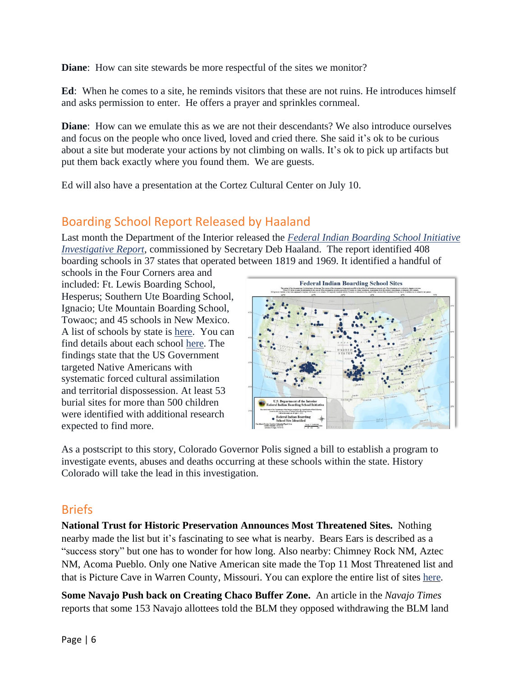**Diane**: How can site stewards be more respectful of the sites we monitor?

**Ed**: When he comes to a site, he reminds visitors that these are not ruins. He introduces himself and asks permission to enter. He offers a prayer and sprinkles cornmeal.

**Diane:** How can we emulate this as we are not their descendants? We also introduce ourselves and focus on the people who once lived, loved and cried there. She said it's ok to be curious about a site but moderate your actions by not climbing on walls. It's ok to pick up artifacts but put them back exactly where you found them. We are guests.

Ed will also have a presentation at the Cortez Cultural Center on July 10.

#### <span id="page-5-0"></span>Boarding School Report Released by Haaland

Last month the Department of the Interior released the *Federal Indian [Boarding](https://www.bia.gov/sites/default/files/dup/inline-files/bsi_investigative_report_may_2022_508.pdf) School Initiative [Investigative](https://www.bia.gov/sites/default/files/dup/inline-files/bsi_investigative_report_may_2022_508.pdf) Report*, commissioned by Secretary Deb Haaland. The report identified 408 boarding schools in 37 states that operated between 1819 and 1969. It identified a handful of

schools in the Four Corners area and included: Ft. Lewis Boarding School, Hesperus; Southern Ute Boarding School, Ignacio; Ute Mountain Boarding School, Towaoc; and 45 schools in New Mexico. A list of schools by state is [here.](https://www.indianz.com/News/wp-content/uploads/2022/05/11/AppendixA.pdf) You can find details about each school [here.](https://www.indianz.com/News/wp-content/uploads/2022/05/11/AppendixB.pdf) The findings state that the US Government targeted Native Americans with systematic forced cultural assimilation and territorial dispossession. At least 53 burial sites for more than 500 children were identified with additional research expected to find more.



As a postscript to this story, Colorado Governor Polis signed a bill to establish a program to investigate events, abuses and deaths occurring at these schools within the state. History Colorado will take the lead in this investigation.

#### <span id="page-5-1"></span>**Briefs**

**National Trust for Historic Preservation Announces Most Threatened Sites.** Nothing nearby made the list but it's fascinating to see what is nearby. Bears Ears is described as a "success story" but one has to wonder for how long. Also nearby: Chimney Rock NM, Aztec NM, Acoma Pueblo. Only one Native American site made the Top 11 Most Threatened list and that is Picture Cave in Warren County, Missouri. You can explore the entire list of sites [here.](https://savingplaces.org/)

**Some Navajo Push back on Creating Chaco Buffer Zone.** An article in the *Navajo Times* reports that some 153 Navajo allottees told the BLM they opposed withdrawing the BLM land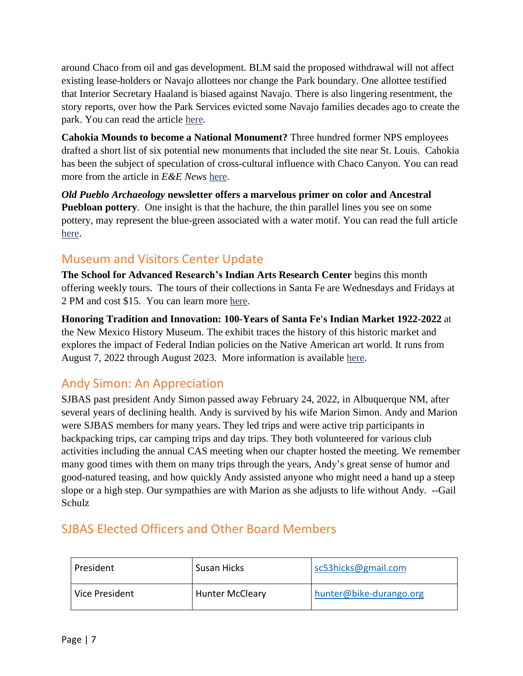around Chaco from oil and gas development. BLM said the proposed withdrawal will not affect existing lease-holders or Navajo allottees nor change the Park boundary. One allottee testified that Interior Secretary Haaland is biased against Navajo. There is also lingering resentment, the story reports, over how the Park Services evicted some Navajo families decades ago to create the park. You can read the article [here.](https://navajotimes.com/reznews/please-listen-to-us-dine-allottees-try-to-reclaim-chaco-canyon/)

**Cahokia Mounds to become a National Monument?** Three hundred former NPS employees drafted a short list of six potential new monuments that included the site near St. Louis. Cahokia has been the subject of speculation of cross-cultural influence with Chaco Canyon. You can read more from the article in *E&E News* [here.](https://www.eenews.net/articles/biden-urged-to-create-6-new-national-monuments-in-5-states/?ms=sat_email&utm_campaign=sat&utm_medium=email&utm_source=aswemail&emci=01b4c01a-4ac6-ec11-997e-281878b83d8a&emdi=0e34485a-4bc6-ec11-997e-281878b83d8a&ceid=9633)

*Old Pueblo Archaeology* **newsletter offers a marvelous primer on color and Ancestral Puebloan pottery**. One insight is that the hachure, the thin parallel lines you see on some pottery, may represent the blue-green associated with a water motif. You can read the full article [here.](https://www.oldpueblo.org/wp-content/uploads/2022/05/Issue-87-December-2021-More-than-Meets-the-Eye.pdf)

## <span id="page-6-0"></span>Museum and Visitors Center Update

**The School for Advanced Research's Indian Arts Research Center** begins this month offering weekly tours. The tours of their collections in Santa Fe are Wednesdays and Fridays at 2 PM and cost \$15. You can learn more [here.](https://sarweb.org/about/tours/?bblinkid=260709961&bbemailid=40178886&bbejrid=-1943268373)

**Honoring Tradition and Innovation: 100-Years of Santa Fe's Indian Market 1922-2022** at the New Mexico History Museum. The exhibit traces the history of this historic market and explores the impact of Federal Indian policies on the Native American art world. It runs from August 7, 2022 through August 2023. More information is available [here.](https://www.nmhistorymuseum.org/exhibitions/upcoming-exhibitions.html)

#### <span id="page-6-1"></span>Andy Simon: An Appreciation

SJBAS past president Andy Simon passed away February 24, 2022, in Albuquerque NM, after several years of declining health. Andy is survived by his wife Marion Simon. Andy and Marion were SJBAS members for many years. They led trips and were active trip participants in backpacking trips, car camping trips and day trips. They both volunteered for various club activities including the annual CAS meeting when our chapter hosted the meeting. We remember many good times with them on many trips through the years, Andy's great sense of humor and good-natured teasing, and how quickly Andy assisted anyone who might need a hand up a steep slope or a high step. Our sympathies are with Marion as she adjusts to life without Andy. --Gail Schulz

# <span id="page-6-2"></span>SJBAS Elected Officers and Other Board Members

| President      | Susan Hicks            | sc53hicks@gmail.com     |
|----------------|------------------------|-------------------------|
| Vice President | <b>Hunter McCleary</b> | hunter@bike-durango.org |